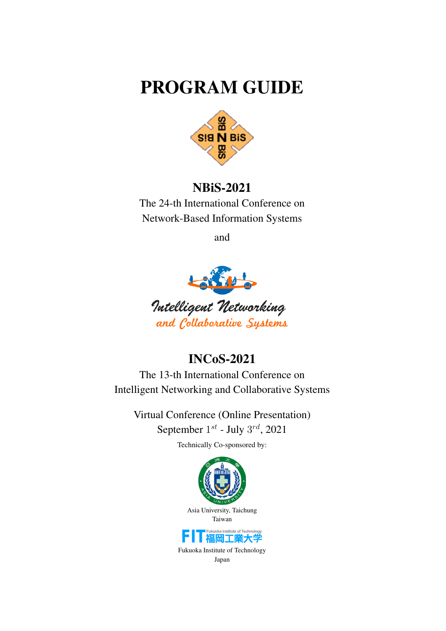# PROGRAM GUIDE



# NBiS-2021

The 24-th International Conference on Network-Based Information Systems

and



# INCoS-2021

The 13-th International Conference on Intelligent Networking and Collaborative Systems

Virtual Conference (Online Presentation) September 1 *st* - July 3 *rd*, 2021

Technically Co-sponsored by:

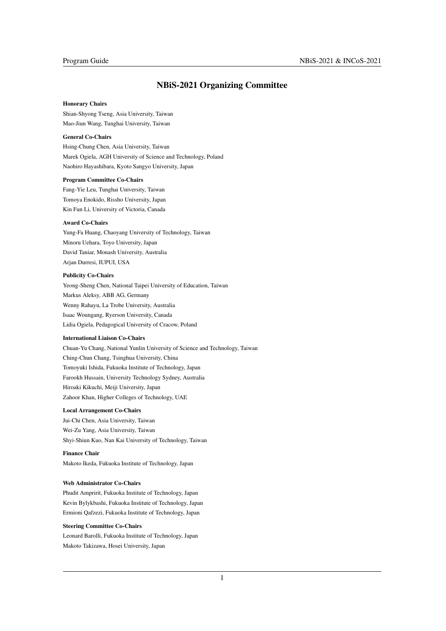# NBiS-2021 Organizing Committee

#### Honorary Chairs

Shian-Shyong Tseng, Asia University, Taiwan Mao-Jiun Wang, Tunghai University, Taiwan

#### General Co-Chairs

Hsing-Chung Chen, Asia University, Taiwan Marek Ogiela, AGH University of Science and Technology, Poland Naohiro Hayashibara, Kyoto Sangyo University, Japan

#### Program Committee Co-Chairs

Fang-Yie Leu, Tunghai University, Taiwan Tomoya Enokido, Rissho University, Japan Kin Fun Li, University of Victoria, Canada

#### Award Co-Chairs

Yung-Fa Huang, Chaoyang University of Technology, Taiwan Minoru Uehara, Toyo University, Japan David Taniar, Monash University, Australia Arjan Durresi, IUPUI, USA

#### Publicity Co-Chairs

Yeong-Sheng Chen, National Taipei University of Education, Taiwan Markus Aleksy, ABB AG, Germany Wenny Rahayu, La Trobe University, Australia Isaac Woungang, Ryerson University, Canada Lidia Ogiela, Pedagogical University of Cracow, Poland

#### International Liaison Co-Chairs

Chuan-Yu Chang, National Yunlin University of Science and Technology, Taiwan Ching-Chun Chang, Tsinghua University, China Tomoyuki Ishida, Fukuoka Institute of Technology, Japan Farookh Hussain, University Technology Sydney, Australia Hiroaki Kikuchi, Meiji University, Japan Zahoor Khan, Higher Colleges of Technology, UAE

#### Local Arrangement Co-Chairs

Jui-Chi Chen, Asia University, Taiwan Wei-Zu Yang, Asia University, Taiwan Shyi-Shiun Kuo, Nan Kai University of Technology, Taiwan

#### Finance Chair

Makoto Ikeda, Fukuoka Institute of Technology, Japan

#### Web Administrator Co-Chairs

Phudit Ampririt, Fukuoka Institute of Technology, Japan Kevin Bylykbashi, Fukuoka Institute of Technology, Japan Ermioni Qafzezi, Fukuoka Institute of Technology, Japan

#### Steering Committee Co-Chairs

Leonard Barolli, Fukuoka Institute of Technology, Japan Makoto Takizawa, Hosei University, Japan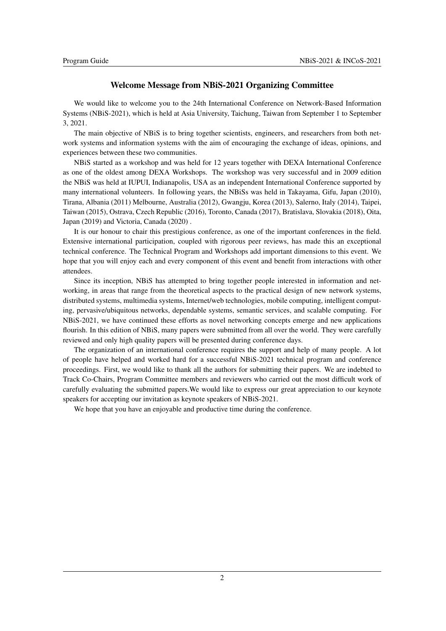# Welcome Message from NBiS-2021 Organizing Committee

We would like to welcome you to the 24th International Conference on Network-Based Information Systems (NBiS-2021), which is held at Asia University, Taichung, Taiwan from September 1 to September 3, 2021.

The main objective of NBiS is to bring together scientists, engineers, and researchers from both network systems and information systems with the aim of encouraging the exchange of ideas, opinions, and experiences between these two communities.

NBiS started as a workshop and was held for 12 years together with DEXA International Conference as one of the oldest among DEXA Workshops. The workshop was very successful and in 2009 edition the NBiS was held at IUPUI, Indianapolis, USA as an independent International Conference supported by many international volunteers. In following years, the NBiSs was held in Takayama, Gifu, Japan (2010), Tirana, Albania (2011) Melbourne, Australia (2012), Gwangju, Korea (2013), Salerno, Italy (2014), Taipei, Taiwan (2015), Ostrava, Czech Republic (2016), Toronto, Canada (2017), Bratislava, Slovakia (2018), Oita, Japan (2019) and Victoria, Canada (2020) .

It is our honour to chair this prestigious conference, as one of the important conferences in the field. Extensive international participation, coupled with rigorous peer reviews, has made this an exceptional technical conference. The Technical Program and Workshops add important dimensions to this event. We hope that you will enjoy each and every component of this event and benefit from interactions with other attendees.

Since its inception, NBiS has attempted to bring together people interested in information and networking, in areas that range from the theoretical aspects to the practical design of new network systems, distributed systems, multimedia systems, Internet/web technologies, mobile computing, intelligent computing, pervasive/ubiquitous networks, dependable systems, semantic services, and scalable computing. For NBiS-2021, we have continued these efforts as novel networking concepts emerge and new applications flourish. In this edition of NBiS, many papers were submitted from all over the world. They were carefully reviewed and only high quality papers will be presented during conference days.

The organization of an international conference requires the support and help of many people. A lot of people have helped and worked hard for a successful NBiS-2021 technical program and conference proceedings. First, we would like to thank all the authors for submitting their papers. We are indebted to Track Co-Chairs, Program Committee members and reviewers who carried out the most difficult work of carefully evaluating the submitted papers.We would like to express our great appreciation to our keynote speakers for accepting our invitation as keynote speakers of NBiS-2021.

We hope that you have an enjoyable and productive time during the conference.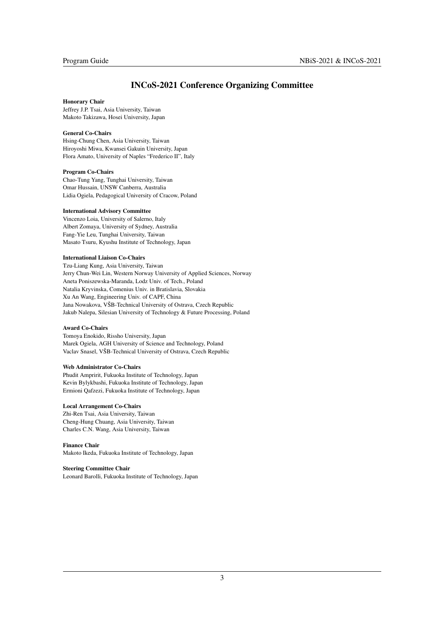# INCoS-2021 Conference Organizing Committee

#### Honorary Chair

Jeffrey J.P. Tsai, Asia University, Taiwan Makoto Takizawa, Hosei University, Japan

#### General Co-Chairs

Hsing-Chung Chen, Asia University, Taiwan Hiroyoshi Miwa, Kwansei Gakuin University, Japan Flora Amato, University of Naples "Frederico II", Italy

#### Program Co-Chairs

Chao-Tung Yang, Tunghai University, Taiwan Omar Hussain, UNSW Canberra, Australia Lidia Ogiela, Pedagogical University of Cracow, Poland

#### International Advisory Committee

Vincenzo Loia, University of Salerno, Italy Albert Zomaya, University of Sydney, Australia Fang-Yie Leu, Tunghai University, Taiwan Masato Tsuru, Kyushu Institute of Technology, Japan

#### International Liaison Co-Chairs

Tzu-Liang Kung, Asia University, Taiwan Jerry Chun-Wei Lin, Western Norway University of Applied Sciences, Norway Aneta Poniszewska-Maranda, Lodz Univ. of Tech., Poland Natalia Kryvinska, Comenius Univ. in Bratislavia, Slovakia Xu An Wang, Engineering Univ. of CAPF, China Jana Nowakova, VŠB-Technical University of Ostrava, Czech Republic Jakub Nalepa, Silesian University of Technology & Future Processing, Poland

#### Award Co-Chairs

Tomoya Enokido, Rissho University, Japan Marek Ogiela, AGH University of Science and Technology, Poland Vaclav Snasel, VŠB-Technical University of Ostrava, Czech Republic

#### Web Administrator Co-Chairs

Phudit Ampririt, Fukuoka Institute of Technology, Japan Kevin Bylykbashi, Fukuoka Institute of Technology, Japan Ermioni Qafzezi, Fukuoka Institute of Technology, Japan

#### Local Arrangement Co-Chairs

Zhi-Ren Tsai, Asia University, Taiwan Cheng-Hung Chuang, Asia University, Taiwan Charles C.N. Wang, Asia University, Taiwan

#### Finance Chair

Makoto Ikeda, Fukuoka Institute of Technology, Japan

#### Steering Committee Chair

Leonard Barolli, Fukuoka Institute of Technology, Japan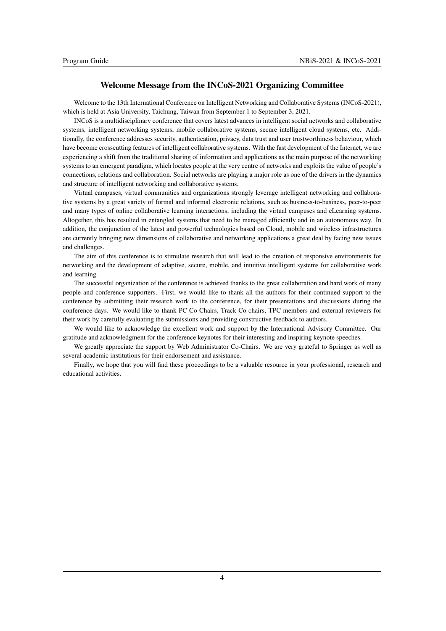# Welcome Message from the INCoS-2021 Organizing Committee

Welcome to the 13th International Conference on Intelligent Networking and Collaborative Systems (INCoS-2021), which is held at Asia University, Taichung, Taiwan from September 1 to September 3, 2021.

INCoS is a multidisciplinary conference that covers latest advances in intelligent social networks and collaborative systems, intelligent networking systems, mobile collaborative systems, secure intelligent cloud systems, etc. Additionally, the conference addresses security, authentication, privacy, data trust and user trustworthiness behaviour, which have become crosscutting features of intelligent collaborative systems. With the fast development of the Internet, we are experiencing a shift from the traditional sharing of information and applications as the main purpose of the networking systems to an emergent paradigm, which locates people at the very centre of networks and exploits the value of people's connections, relations and collaboration. Social networks are playing a major role as one of the drivers in the dynamics and structure of intelligent networking and collaborative systems.

Virtual campuses, virtual communities and organizations strongly leverage intelligent networking and collaborative systems by a great variety of formal and informal electronic relations, such as business-to-business, peer-to-peer and many types of online collaborative learning interactions, including the virtual campuses and eLearning systems. Altogether, this has resulted in entangled systems that need to be managed efficiently and in an autonomous way. In addition, the conjunction of the latest and powerful technologies based on Cloud, mobile and wireless infrastructures are currently bringing new dimensions of collaborative and networking applications a great deal by facing new issues and challenges.

The aim of this conference is to stimulate research that will lead to the creation of responsive environments for networking and the development of adaptive, secure, mobile, and intuitive intelligent systems for collaborative work and learning.

The successful organization of the conference is achieved thanks to the great collaboration and hard work of many people and conference supporters. First, we would like to thank all the authors for their continued support to the conference by submitting their research work to the conference, for their presentations and discussions during the conference days. We would like to thank PC Co-Chairs, Track Co-chairs, TPC members and external reviewers for their work by carefully evaluating the submissions and providing constructive feedback to authors.

We would like to acknowledge the excellent work and support by the International Advisory Committee. Our gratitude and acknowledgment for the conference keynotes for their interesting and inspiring keynote speeches.

We greatly appreciate the support by Web Administrator Co-Chairs. We are very grateful to Springer as well as several academic institutions for their endorsement and assistance.

Finally, we hope that you will find these proceedings to be a valuable resource in your professional, research and educational activities.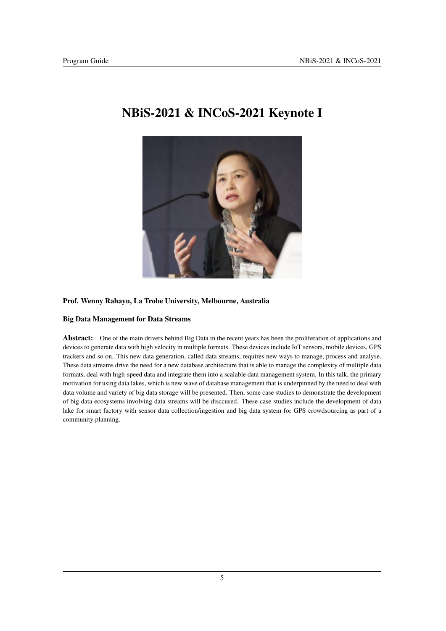# NBiS-2021 & INCoS-2021 Keynote I



# Prof. Wenny Rahayu, La Trobe University, Melbourne, Australia

# Big Data Management for Data Streams

Abstract: One of the main drivers behind Big Data in the recent years has been the proliferation of applications and devices to generate data with high velocity in multiple formats. These devices include IoT sensors, mobile devices, GPS trackers and so on. This new data generation, called data streams, requires new ways to manage, process and analyse. These data streams drive the need for a new database architecture that is able to manage the complexity of multiple data formats, deal with high-speed data and integrate them into a scalable data management system. In this talk, the primary motivation for using data lakes, which is new wave of database management that is underpinned by the need to deal with data volume and variety of big data storage will be presented. Then, some case studies to demonstrate the development of big data ecosystems involving data streams will be disccused. These case studies include the development of data lake for smart factory with sensor data collection/ingestion and big data system for GPS crowdsourcing as part of a community planning.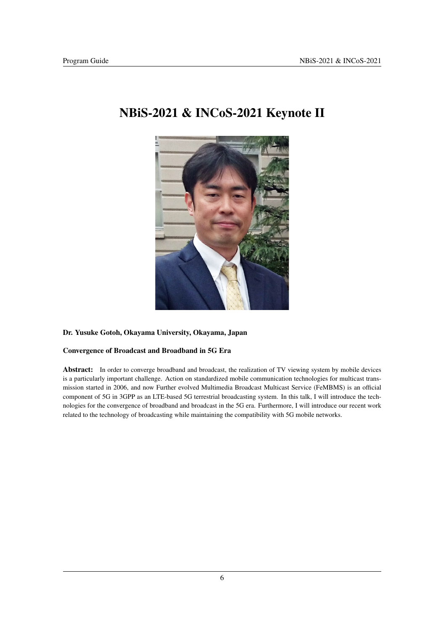# NBiS-2021 & INCoS-2021 Keynote II

# Dr. Yusuke Gotoh, Okayama University, Okayama, Japan

# Convergence of Broadcast and Broadband in 5G Era

Abstract: In order to converge broadband and broadcast, the realization of TV viewing system by mobile devices is a particularly important challenge. Action on standardized mobile communication technologies for multicast transmission started in 2006, and now Further evolved Multimedia Broadcast Multicast Service (FeMBMS) is an official component of 5G in 3GPP as an LTE-based 5G terrestrial broadcasting system. In this talk, I will introduce the technologies for the convergence of broadband and broadcast in the 5G era. Furthermore, I will introduce our recent work related to the technology of broadcasting while maintaining the compatibility with 5G mobile networks.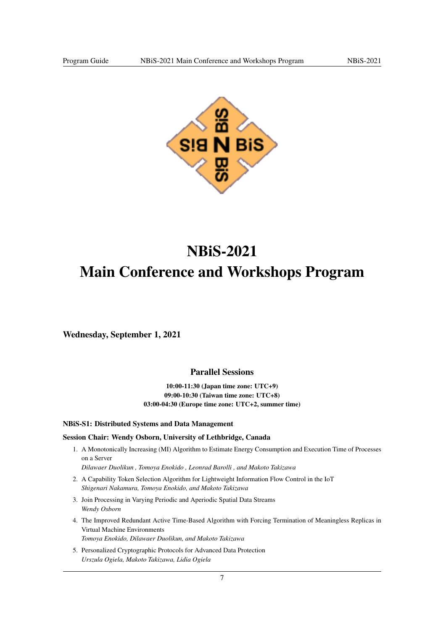

# NBiS-2021 Main Conference and Workshops Program

Wednesday, September 1, 2021

# Parallel Sessions

10:00-11:30 (Japan time zone: UTC+9) 09:00-10:30 (Taiwan time zone: UTC+8) 03:00-04:30 (Europe time zone: UTC+2, summer time)

#### NBiS-S1: Distributed Systems and Data Management

### Session Chair: Wendy Osborn, University of Lethbridge, Canada

1. A Monotonically Increasing (MI) Algorithm to Estimate Energy Consumption and Execution Time of Processes on a Server

*Dilawaer Duolikun , Tomoya Enokido , Leonrad Barolli , and Makoto Takizawa*

- 2. A Capability Token Selection Algorithm for Lightweight Information Flow Control in the IoT *Shigenari Nakamura, Tomoya Enokido, and Makoto Takizawa*
- 3. Join Processing in Varying Periodic and Aperiodic Spatial Data Streams *Wendy Osborn*
- 4. The Improved Redundant Active Time-Based Algorithm with Forcing Termination of Meaningless Replicas in Virtual Machine Environments

*Tomoya Enokido, Dilawaer Duolikun, and Makoto Takizawa*

5. Personalized Cryptographic Protocols for Advanced Data Protection *Urszula Ogiela, Makoto Takizawa, Lidia Ogiela*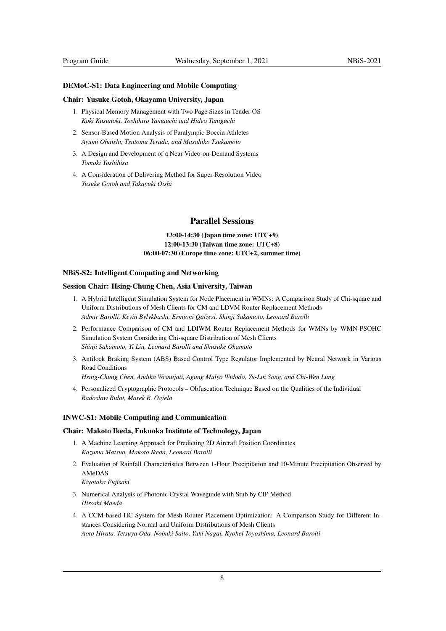#### DEMoC-S1: Data Engineering and Mobile Computing

#### Chair: Yusuke Gotoh, Okayama University, Japan

- 1. Physical Memory Management with Two Page Sizes in Tender OS *Koki Kusunoki, Toshihiro Yamauchi and Hideo Taniguchi*
- 2. Sensor-Based Motion Analysis of Paralympic Boccia Athletes *Ayumi Ohnishi, Tsutomu Terada, and Masahiko Tsukamoto*
- 3. A Design and Development of a Near Video-on-Demand Systems *Tomoki Yoshihisa*
- 4. A Consideration of Delivering Method for Super-Resolution Video *Yusuke Gotoh and Takayuki Oishi*

# Parallel Sessions

# 13:00-14:30 (Japan time zone: UTC+9) 12:00-13:30 (Taiwan time zone: UTC+8) 06:00-07:30 (Europe time zone: UTC+2, summer time)

#### NBiS-S2: Intelligent Computing and Networking

#### Session Chair: Hsing-Chung Chen, Asia University, Taiwan

- 1. A Hybrid Intelligent Simulation System for Node Placement in WMNs: A Comparison Study of Chi-square and Uniform Distributions of Mesh Clients for CM and LDVM Router Replacement Methods *Admir Barolli, Kevin Bylykbashi, Ermioni Qafzezi, Shinji Sakamoto, Leonard Barolli*
- 2. Performance Comparison of CM and LDIWM Router Replacement Methods for WMNs by WMN-PSOHC Simulation System Considering Chi-square Distribution of Mesh Clients *Shinji Sakamoto, Yi Liu, Leonard Barolli and Shusuke Okamoto*
- 3. Antilock Braking System (ABS) Based Control Type Regulator Implemented by Neural Network in Various Road Conditions

*Hsing-Chung Chen, Andika Wisnujati, Agung Mulyo Widodo, Yu-Lin Song, and Chi-Wen Lung*

4. Personalized Cryptographic Protocols – Obfuscation Technique Based on the Qualities of the Individual *Radosław Bułat, Marek R. Ogiela*

#### INWC-S1: Mobile Computing and Communication

#### Chair: Makoto Ikeda, Fukuoka Institute of Technology, Japan

- 1. A Machine Learning Approach for Predicting 2D Aircraft Position Coordinates *Kazuma Matsuo, Makoto Ikeda, Leonard Barolli*
- 2. Evaluation of Rainfall Characteristics Between 1-Hour Precipitation and 10-Minute Precipitation Observed by AMeDAS

*Kiyotaka Fujisaki*

- 3. Numerical Analysis of Photonic Crystal Waveguide with Stub by CIP Method *Hiroshi Maeda*
- 4. A CCM-based HC System for Mesh Router Placement Optimization: A Comparison Study for Different Instances Considering Normal and Uniform Distributions of Mesh Clients *Aoto Hirata, Tetsuya Oda, Nobuki Saito, Yuki Nagai, Kyohei Toyoshima, Leonard Barolli*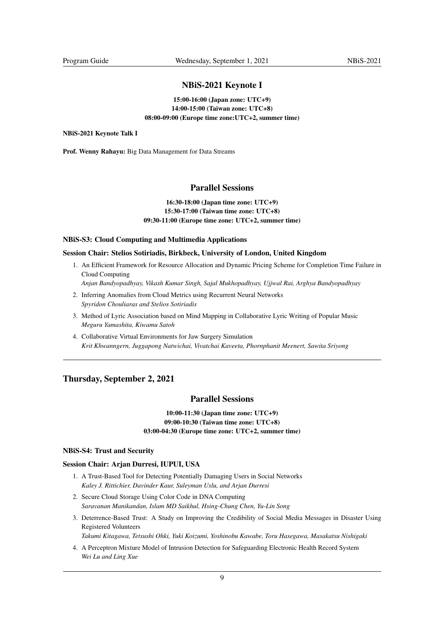# NBiS-2021 Keynote I

15:00-16:00 (Japan zone: UTC+9) 14:00-15:00 (Taiwan zone: UTC+8) 08:00-09:00 (Europe time zone:UTC+2, summer time)

NBiS-2021 Keynote Talk I

Prof. Wenny Rahayu: Big Data Management for Data Streams

# Parallel Sessions

16:30-18:00 (Japan time zone: UTC+9) 15:30-17:00 (Taiwan time zone: UTC+8) 09:30-11:00 (Europe time zone: UTC+2, summer time)

#### NBiS-S3: Cloud Computing and Multimedia Applications

#### Session Chair: Stelios Sotiriadis, Birkbeck, University of London, United Kingdom

- 1. An Efficient Framework for Resource Allocation and Dynamic Pricing Scheme for Completion Time Failure in Cloud Computing
	- *Anjan Bandyopadhyay, Vikash Kumar Singh, Sajal Mukhopadhyay, Ujjwal Rai, Arghya Bandyopadhyay*
- 2. Inferring Anomalies from Cloud Metrics using Recurrent Neural Networks *Spyridon Chouliaras and Stelios Sotiriadis*
- 3. Method of Lyric Association based on Mind Mapping in Collaborative Lyric Writing of Popular Music *Meguru Yamashita, Kiwamu Satoh*
- 4. Collaborative Virtual Environments for Jaw Surgery Simulation *Krit Khwanngern, Juggapong Natwichai, Vivatchai Kaveeta, Phornphanit Meenert, Sawita Sriyong*

# Thursday, September 2, 2021

# Parallel Sessions

# 10:00-11:30 (Japan time zone: UTC+9) 09:00-10:30 (Taiwan time zone: UTC+8) 03:00-04:30 (Europe time zone: UTC+2, summer time)

#### NBiS-S4: Trust and Security

#### Session Chair: Arjan Durresi, IUPUI, USA

- 1. A Trust-Based Tool for Detecting Potentially Damaging Users in Social Networks *Kaley J. Rittichier, Davinder Kaur, Suleyman Uslu, and Arjan Durresi*
- 2. Secure Cloud Storage Using Color Code in DNA Computing *Saravanan Manikandan, Islam MD Saikhul, Hsing-Chung Chen, Yu-Lin Song*
- 3. Deterrence-Based Trust: A Study on Improving the Credibility of Social Media Messages in Disaster Using Registered Volunteers *Takumi Kitagawa, Tetsushi Ohki, Yuki Koizumi, Yoshinobu Kawabe, Toru Hasegawa, Masakatsu Nishigaki*
- 4. A Perceptron Mixture Model of Intrusion Detection for Safeguarding Electronic Health Record System
	- *Wei Lu and Ling Xue*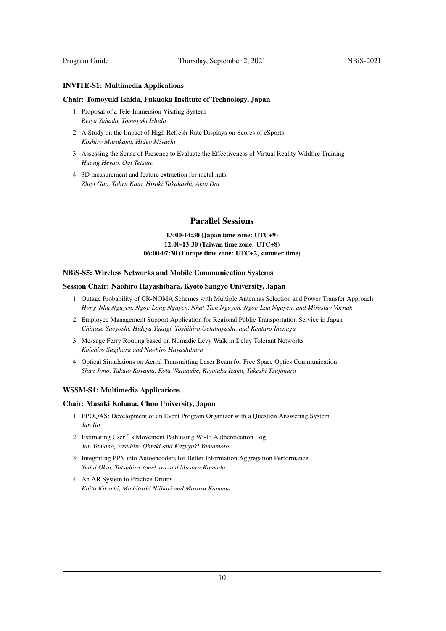#### INVITE-S1: Multimedia Applications

#### Chair: Tomoyuki Ishida, Fukuoka Institute of Technology, Japan

- 1. Proposal of a Tele-Immersion Visiting System *Reiya Yahada, Tomoyuki Ishida*
- 2. A Study on the Impact of High Refresh-Rate Displays on Scores of eSports *Koshiro Murakami, Hideo Miyachi*
- 3. Assessing the Sense of Presence to Evaluate the Effectiveness of Virtual Reality Wildfire Training *Huang Heyao, Ogi Tetsuro*
- 4. 3D measurement and feature extraction for metal nuts *Zhiyi Gao, Tohru Kato, Hiroki Takahashi, Akio Doi*

# Parallel Sessions

# 13:00-14:30 (Japan time zone: UTC+9) 12:00-13:30 (Taiwan time zone: UTC+8) 06:00-07:30 (Europe time zone: UTC+2, summer time)

#### NBiS-S5: Wireless Networks and Mobile Communication Systems

#### Session Chair: Naohiro Hayashibara, Kyoto Sangyo University, Japan

- 1. Outage Probability of CR-NOMA Schemes with Multiple Antennas Selection and Power Transfer Approach *Hong-Nhu Nguyen, Ngoc-Long Nguyen, Nhat-Tien Nguyen, Ngoc-Lan Nguyen, and Miroslav Voznak*
- 2. Employee Management Support Application for Regional Public Transportation Service in Japan *Chinasa Sueyoshi, Hideya Takagi, Toshihiro Uchibayashi, and Kentaro Inenaga*
- 3. Message Ferry Routing based on Nomadic Lévy Walk in Delay Tolerant Networks *Koichiro Sugihara and Naohiro Hayashibara*
- 4. Optical Simulations on Aerial Transmitting Laser Beam for Free Space Optics Communication *Shun Jono, Takuto Koyama, Kota Watanabe, Kiyotaka Izumi, Takeshi Tsujimura*

#### WSSM-S1: Multimedia Applications

#### Chair: Masaki Kohana, Chuo University, Japan

- 1. EPOQAS: Development of an Event Program Organizer with a Question Answering System *Jun Iio*
- 2. Estimating User 's Movement Path using Wi-Fi Authentication Log *Jun Yamano, Yasuhiro Ohtaki and Kazuyuki Yamamoto*
- 3. Integrating PPN into Autoencoders for Better Information Aggregation Performance *Yudai Okui, Tatsuhiro Yonekura and Masaru Kamada*
- 4. An AR System to Practice Drums *Kaito Kikuchi, Michitoshi Niibori and Masaru Kamada*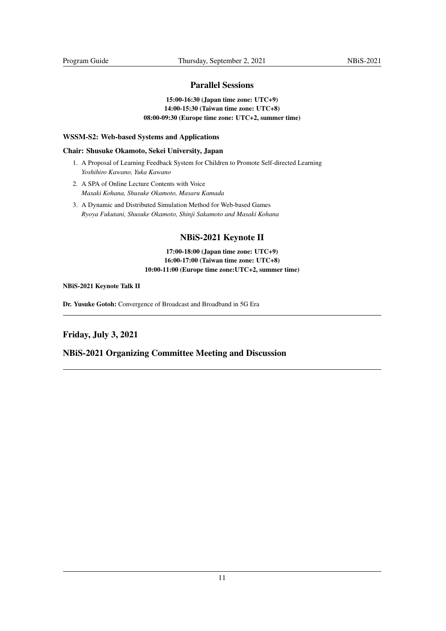# Parallel Sessions

15:00-16:30 (Japan time zone: UTC+9) 14:00-15:30 (Taiwan time zone: UTC+8) 08:00-09:30 (Europe time zone: UTC+2, summer time)

#### WSSM-S2: Web-based Systems and Applications

# Chair: Shusuke Okamoto, Sekei University, Japan

- 1. A Proposal of Learning Feedback System for Children to Promote Self-directed Learning *Yoshihiro Kawano, Yuka Kawano*
- 2. A SPA of Online Lecture Contents with Voice *Masaki Kohana, Shusuke Okamoto, Masaru Kamada*
- 3. A Dynamic and Distributed Simulation Method for Web-based Games *Ryoya Fukutani, Shusuke Okamoto, Shinji Sakamoto and Masaki Kohana*

# NBiS-2021 Keynote II

# 17:00-18:00 (Japan time zone: UTC+9) 16:00-17:00 (Taiwan time zone: UTC+8) 10:00-11:00 (Europe time zone:UTC+2, summer time)

#### NBiS-2021 Keynote Talk II

Dr. Yusuke Gotoh: Convergence of Broadcast and Broadband in 5G Era

# Friday, July 3, 2021

# NBiS-2021 Organizing Committee Meeting and Discussion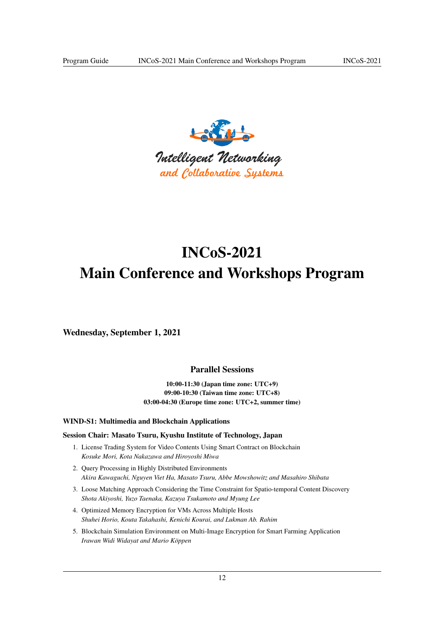

# INCoS-2021 Main Conference and Workshops Program

Wednesday, September 1, 2021

# Parallel Sessions

10:00-11:30 (Japan time zone: UTC+9) 09:00-10:30 (Taiwan time zone: UTC+8) 03:00-04:30 (Europe time zone: UTC+2, summer time)

# WIND-S1: Multimedia and Blockchain Applications

#### Session Chair: Masato Tsuru, Kyushu Institute of Technology, Japan

- 1. License Trading System for Video Contents Using Smart Contract on Blockchain *Kosuke Mori, Kota Nakazawa and Hiroyoshi Miwa*
- 2. Query Processing in Highly Distributed Environments *Akira Kawaguchi, Nguyen Viet Ha, Masato Tsuru, Abbe Mowshowitz and Masahiro Shibata*
- 3. Loose Matching Approach Considering the Time Constraint for Spatio-temporal Content Discovery *Shota Akiyoshi, Yuzo Taenaka, Kazuya Tsukamoto and Myung Lee*
- 4. Optimized Memory Encryption for VMs Across Multiple Hosts *Shuhei Horio, Kouta Takahashi, Kenichi Kourai, and Lukman Ab. Rahim*
- 5. Blockchain Simulation Environment on Multi-Image Encryption for Smart Farming Application *Irawan Widi Widayat and Mario Köppen*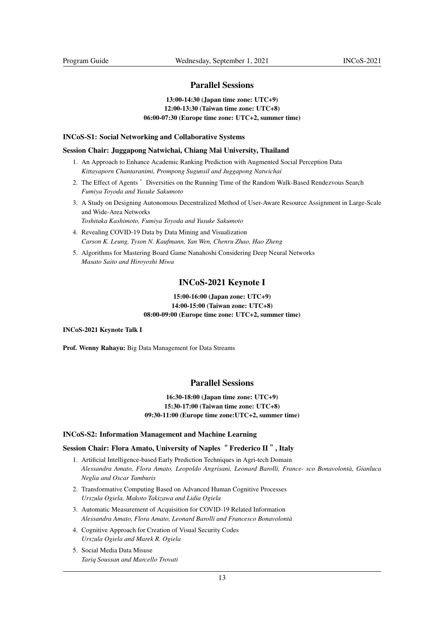# Parallel Sessions

13:00-14:30 (Japan time zone: UTC+9) 12:00-13:30 (Taiwan time zone: UTC+8) 06:00-07:30 (Europe time zone: UTC+2, summer time)

### INCoS-S1: Social Networking and Collaborative Systems

#### Session Chair: Juggapong Natwichai, Chiang Mai University, Thailand

- 1. An Approach to Enhance Academic Ranking Prediction with Augmented Social Perception Data *Kittayaporn Chantaranimi, Prompong Sugunsil and Juggapong Natwichai*
- 2. The Effect of Agents 'Diversities on the Running Time of the Random Walk-Based Rendezvous Search *Fumiya Toyoda and Yusuke Sakumoto*
- 3. A Study on Designing Autonomous Decentralized Method of User-Aware Resource Assignment in Large-Scale and Wide-Area Networks *Toshitaka Kashimoto, Fumiya Toyoda and Yusuke Sakumoto*
- 4. Revealing COVID-19 Data by Data Mining and Visualization *Carson K. Leung, Tyson N. Kaufmann, Yan Wen, Chenru Zhao, Hao Zheng*
- 5. Algorithms for Mastering Board Game Nanahoshi Considering Deep Neural Networks *Masato Saito and Hiroyoshi Miwa*

# INCoS-2021 Keynote I

15:00-16:00 (Japan zone: UTC+9) 14:00-15:00 (Taiwan zone: UTC+8) 08:00-09:00 (Europe time zone: UTC+2, summer time)

INCoS-2021 Keynote Talk I

Prof. Wenny Rahayu: Big Data Management for Data Streams

# Parallel Sessions

16:30-18:00 (Japan time zone: UTC+9) 15:30-17:00 (Taiwan time zone: UTC+8) 09:30-11:00 (Europe time zone:UTC+2, summer time)

# INCoS-S2: Information Management and Machine Learning

# Session Chair: Flora Amato, University of Naples " Frederico II", Italy

- 1. Artificial Intelligence-based Early Prediction Techniques in Agri-tech Domain *Alessandra Amato, Flora Amato, Leopoldo Angrisani, Leonard Barolli, France- sco Bonavolontà, Gianluca Neglia and Oscar Tamburis*
- 2. Transformative Computing Based on Advanced Human Cognitive Processes *Urszula Ogiela, Makoto Takizawa and Lidia Ogiela*
- 3. Automatic Measurement of Acquisition for COVID-19 Related Information *Alessandra Amato, Flora Amato, Leonard Barolli and Francesco Bonavolontà*
- 4. Cognitive Approach for Creation of Visual Security Codes *Urszula Ogiela and Marek R. Ogiela*
- 5. Social Media Data Misuse *Tariq Soussan and Marcello Trovati*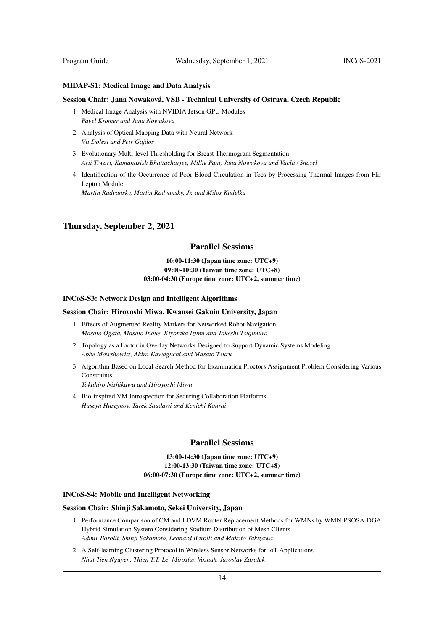#### MIDAP-S1: Medical Image and Data Analysis

#### Session Chair: Jana Nowaková, VSB - Technical University of Ostrava, Czech Republic

- 1. Medical Image Analysis with NVIDIA Jetson GPU Modules *Pavel Kromer and Jana Nowakova*
- 2. Analysis of Optical Mapping Data with Neural Network *Vıt Dolezı and Petr Gajdos*
- 3. Evolutionary Multi-level Thresholding for Breast Thermogram Segmentation *Arti Tiwari, Kamanasish Bhattacharjee, Millie Pant, Jana Nowakova and Vaclav Snasel*
- 4. Identification of the Occurrence of Poor Blood Circulation in Toes by Processing Thermal Images from Flir Lepton Module *Martin Radvansky, Martin Radvansky, Jr. and Milos Kudelka*

# Thursday, September 2, 2021

# Parallel Sessions

10:00-11:30 (Japan time zone: UTC+9) 09:00-10:30 (Taiwan time zone: UTC+8) 03:00-04:30 (Europe time zone: UTC+2, summer time)

### INCoS-S3: Network Design and Intelligent Algorithms

#### Session Chair: Hiroyoshi Miwa, Kwansei Gakuin University, Japan

- 1. Effects of Augmented Reality Markers for Networked Robot Navigation *Masato Ogata, Masato Inoue, Kiyotaka Izumi and Takeshi Tsujimura*
- 2. Topology as a Factor in Overlay Networks Designed to Support Dynamic Systems Modeling *Abbe Mowshowitz, Akira Kawaguchi and Masato Tsuru*
- 3. Algorithm Based on Local Search Method for Examination Proctors Assignment Problem Considering Various **Constraints** *Takahiro Nishikawa and Hiroyoshi Miwa*
- 4. Bio-inspired VM Introspection for Securing Collaboration Platforms *Huseyn Huseynov, Tarek Saadawi and Kenichi Kourai*

# Parallel Sessions

# 13:00-14:30 (Japan time zone: UTC+9) 12:00-13:30 (Taiwan time zone: UTC+8) 06:00-07:30 (Europe time zone: UTC+2, summer time)

#### INCoS-S4: Mobile and Intelligent Networking

#### Session Chair: Shinji Sakamoto, Sekei University, Japan

- 1. Performance Comparison of CM and LDVM Router Replacement Methods for WMNs by WMN-PSOSA-DGA Hybrid Simulation System Considering Stadium Distribution of Mesh Clients *Admir Barolli, Shinji Sakamoto, Leonard Barolli and Makoto Takizawa*
- 2. A Self-learning Clustering Protocol in Wireless Sensor Networks for IoT Applications *Nhat Tien Nguyen, Thien T.T. Le, Miroslav Voznak, Jaroslav Zdralek*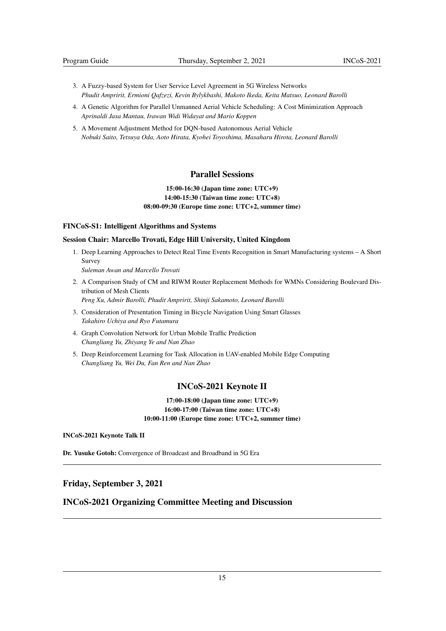- 3. A Fuzzy-based System for User Service Level Agreement in 5G Wireless Networks *Phudit Ampririt, Ermioni Qafzezi, Kevin Bylykbashi, Makoto Ikeda, Keita Matsuo, Leonard Barolli*
- 4. A Genetic Algorithm for Parallel Unmanned Aerial Vehicle Scheduling: A Cost Minimization Approach *Aprinaldi Jasa Mantau, Irawan Widi Widayat and Mario Koppen*
- 5. A Movement Adjustment Method for DQN-based Autonomous Aerial Vehicle *Nobuki Saito, Tetsuya Oda, Aoto Hirata, Kyohei Toyoshima, Masaharu Hirota, Leonard Barolli*

# Parallel Sessions

15:00-16:30 (Japan time zone: UTC+9) 14:00-15:30 (Taiwan time zone: UTC+8) 08:00-09:30 (Europe time zone: UTC+2, summer time)

### FINCoS-S1: Intelligent Algorithms and Systems

#### Session Chair: Marcello Trovati, Edge Hill University, United Kingdom

1. Deep Learning Approaches to Detect Real Time Events Recognition in Smart Manufacturing systems – A Short Survey

*Suleman Awan and Marcello Trovati*

- 2. A Comparison Study of CM and RIWM Router Replacement Methods for WMNs Considering Boulevard Distribution of Mesh Clients *Peng Xu, Admir Barolli, Phudit Ampririt, Shinji Sakamoto, Leonard Barolli*
- 3. Consideration of Presentation Timing in Bicycle Navigation Using Smart Glasses *Takahiro Uchiya and Ryo Futamura*
- 4. Graph Convolution Network for Urban Mobile Traffic Prediction *Changliang Yu, Zhiyang Ye and Nan Zhao*
- 5. Deep Reinforcement Learning for Task Allocation in UAV-enabled Mobile Edge Computing *Changliang Yu, Wei Du, Fan Ren and Nan Zhao*

### INCoS-2021 Keynote II

17:00-18:00 (Japan time zone: UTC+9) 16:00-17:00 (Taiwan time zone: UTC+8) 10:00-11:00 (Europe time zone: UTC+2, summer time)

INCoS-2021 Keynote Talk II

Dr. Yusuke Gotoh: Convergence of Broadcast and Broadband in 5G Era

# Friday, September 3, 2021

# INCoS-2021 Organizing Committee Meeting and Discussion